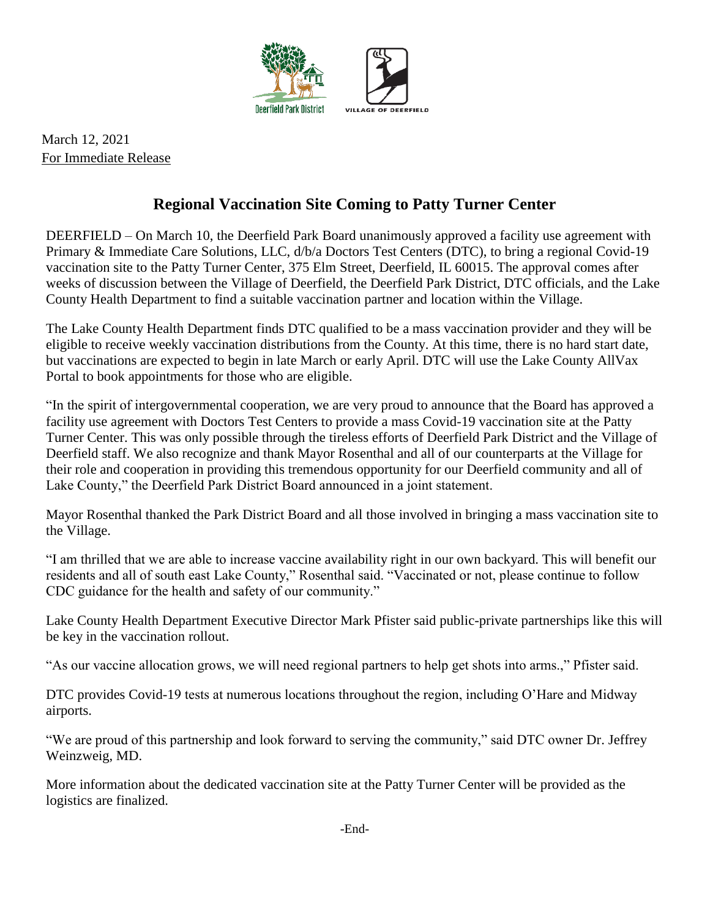

March 12, 2021 For Immediate Release

## **Regional Vaccination Site Coming to Patty Turner Center**

DEERFIELD – On March 10, the Deerfield Park Board unanimously approved a facility use agreement with Primary & Immediate Care Solutions, LLC, d/b/a Doctors Test Centers (DTC), to bring a regional Covid-19 vaccination site to the Patty Turner Center, 375 Elm Street, Deerfield, IL 60015. The approval comes after weeks of discussion between the Village of Deerfield, the Deerfield Park District, DTC officials, and the Lake County Health Department to find a suitable vaccination partner and location within the Village.

The Lake County Health Department finds DTC qualified to be a mass vaccination provider and they will be eligible to receive weekly vaccination distributions from the County. At this time, there is no hard start date, but vaccinations are expected to begin in late March or early April. DTC will use the Lake County AllVax Portal to book appointments for those who are eligible.

"In the spirit of intergovernmental cooperation, we are very proud to announce that the Board has approved a facility use agreement with Doctors Test Centers to provide a mass Covid-19 vaccination site at the Patty Turner Center. This was only possible through the tireless efforts of Deerfield Park District and the Village of Deerfield staff. We also recognize and thank Mayor Rosenthal and all of our counterparts at the Village for their role and cooperation in providing this tremendous opportunity for our Deerfield community and all of Lake County," the Deerfield Park District Board announced in a joint statement.

Mayor Rosenthal thanked the Park District Board and all those involved in bringing a mass vaccination site to the Village.

"I am thrilled that we are able to increase vaccine availability right in our own backyard. This will benefit our residents and all of south east Lake County," Rosenthal said. "Vaccinated or not, please continue to follow CDC guidance for the health and safety of our community."

Lake County Health Department Executive Director Mark Pfister said public-private partnerships like this will be key in the vaccination rollout.

"As our vaccine allocation grows, we will need regional partners to help get shots into arms.," Pfister said.

DTC provides Covid-19 tests at numerous locations throughout the region, including O'Hare and Midway airports.

"We are proud of this partnership and look forward to serving the community," said DTC owner Dr. Jeffrey Weinzweig, MD.

More information about the dedicated vaccination site at the Patty Turner Center will be provided as the logistics are finalized.